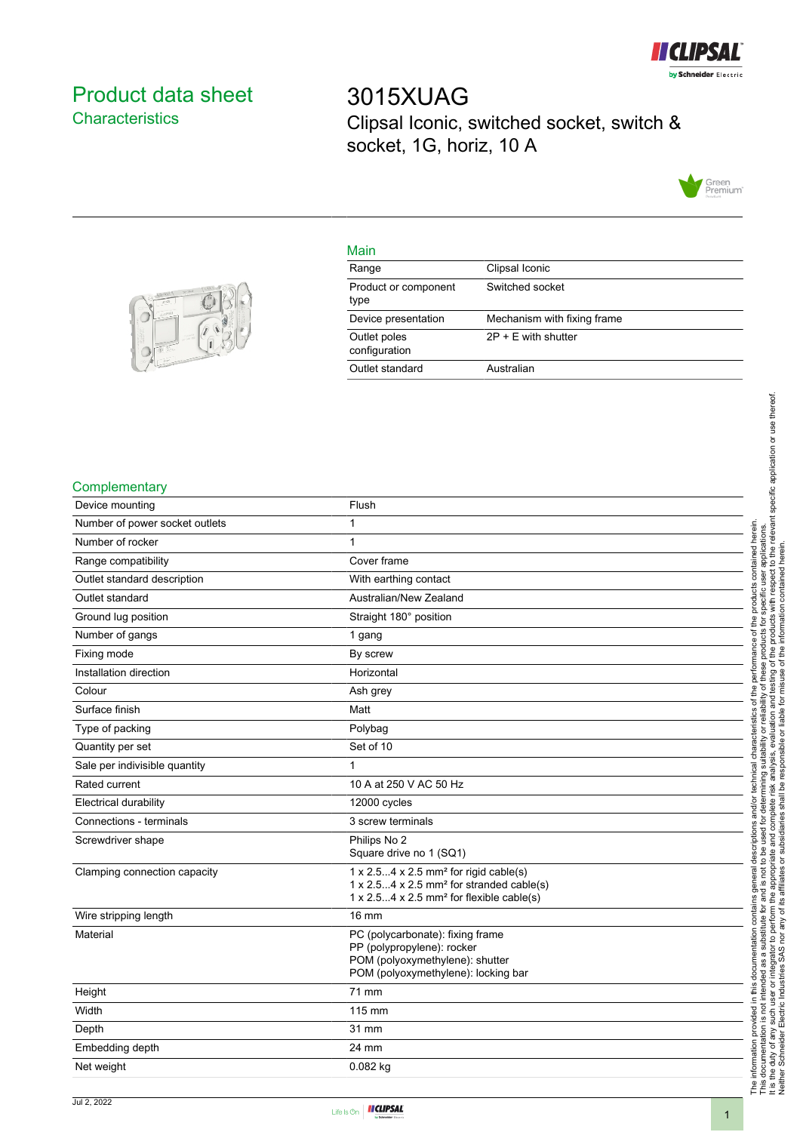

# <span id="page-0-0"></span>Product data sheet **Characteristics**

3015XUAG Clipsal Iconic, switched socket, switch & socket, 1G, horiz, 10 A



## Main

| Range                         | Clipsal Iconic              |
|-------------------------------|-----------------------------|
| Product or component<br>type  | Switched socket             |
| Device presentation           | Mechanism with fixing frame |
| Outlet poles<br>configuration | $2P + E$ with shutter       |
| Outlet standard               | Australian                  |
|                               |                             |



## **Complementary**

| Device mounting                | Flush                                                                                                                                                                                                 |
|--------------------------------|-------------------------------------------------------------------------------------------------------------------------------------------------------------------------------------------------------|
| Number of power socket outlets | 1                                                                                                                                                                                                     |
| Number of rocker               | 1                                                                                                                                                                                                     |
| Range compatibility            | Cover frame                                                                                                                                                                                           |
| Outlet standard description    | With earthing contact                                                                                                                                                                                 |
| Outlet standard                | Australian/New Zealand                                                                                                                                                                                |
| Ground lug position            | Straight 180° position                                                                                                                                                                                |
| Number of gangs                | 1 gang                                                                                                                                                                                                |
| Fixing mode                    | By screw                                                                                                                                                                                              |
| Installation direction         | Horizontal                                                                                                                                                                                            |
| Colour                         | Ash grey                                                                                                                                                                                              |
| Surface finish                 | Matt                                                                                                                                                                                                  |
| Type of packing                | Polybag                                                                                                                                                                                               |
| Quantity per set               | Set of 10                                                                                                                                                                                             |
| Sale per indivisible quantity  | 1                                                                                                                                                                                                     |
| Rated current                  | 10 A at 250 V AC 50 Hz                                                                                                                                                                                |
| Electrical durability          | 12000 cycles                                                                                                                                                                                          |
| Connections - terminals        | 3 screw terminals                                                                                                                                                                                     |
| Screwdriver shape              | Philips No 2<br>Square drive no 1 (SQ1)                                                                                                                                                               |
| Clamping connection capacity   | $1 \times 2.54 \times 2.5$ mm <sup>2</sup> for rigid cable(s)<br>$1 \times 2.54 \times 2.5$ mm <sup>2</sup> for stranded cable(s)<br>$1 \times 2.54 \times 2.5$ mm <sup>2</sup> for flexible cable(s) |
| Wire stripping length          | 16 mm                                                                                                                                                                                                 |
| Material                       | PC (polycarbonate): fixing frame<br>PP (polypropylene): rocker<br>POM (polyoxymethylene): shutter<br>POM (polyoxymethylene): locking bar                                                              |
| Height                         | 71 mm                                                                                                                                                                                                 |
| Width                          | 115 mm                                                                                                                                                                                                |
| Depth                          | 31 mm                                                                                                                                                                                                 |
| Embedding depth                | 24 mm                                                                                                                                                                                                 |
| Net weight                     | 0.082 kg                                                                                                                                                                                              |